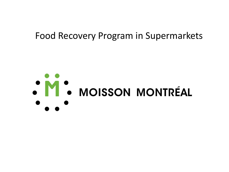## Food Recovery Program in Supermarkets

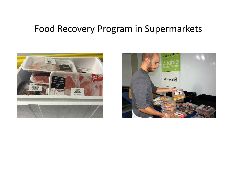# Food Recovery Program in Supermarkets



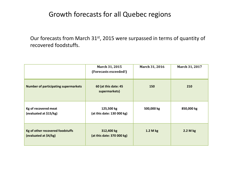### Growth forecasts for all Quebec regions

Our forecasts from March 31<sup>st</sup>, 2015 were surpassed in terms of quantity of recovered foodstuffs.

|                                                           | March 31, 2015<br>(Forecasts exceeded!)  | March 31, 2016 | March 31, 2017 |
|-----------------------------------------------------------|------------------------------------------|----------------|----------------|
| <b>Number of participating supermarkets</b>               | 60 (at this date: 45<br>supermarkets)    | 150            | 210            |
| Kg of recovered meat<br>(evaluated at \$15/kg)            | 125,500 kg<br>(at this date: 130 000 kg) | 500,000 kg     | 850,000 kg     |
| Kg of other recovered foodstuffs<br>(evaluated at \$4/kg) | 312,400 kg<br>(at this date: 370 000 kg) | 1.2 M kg       | 2.2 M kg       |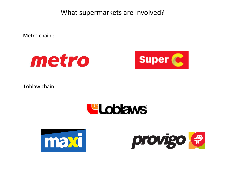What supermarkets are involved?

Metro chain :





Loblaw chain:





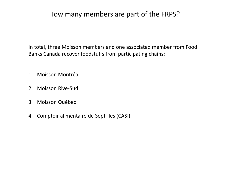### How many members are part of the FRPS?

In total, three Moisson members and one associated member from Food Banks Canada recover foodstuffs from participating chains:

- 1. Moisson Montréal
- 2. Moisson Rive-Sud
- 3. Moisson Québec
- 4. Comptoir alimentaire de Sept-Iles (CASI)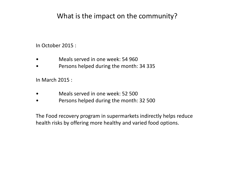## What is the impact on the community?

In October 2015 :

- Meals served in one week: 54 960
- Persons helped during the month: 34 335

In March 2015 :

- Meals served in one week: 52 500
- Persons helped during the month: 32 500

The Food recovery program in supermarkets indirectly helps reduce health risks by offering more healthy and varied food options.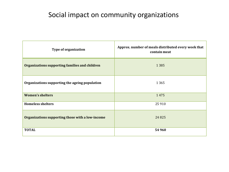## Social impact on community organizations

| <b>Type of organization</b>                      | Approx. number of meals distributed every week that<br>contain meat |  |  |
|--------------------------------------------------|---------------------------------------------------------------------|--|--|
| Organizations supporting families and children   | 1 3 8 5                                                             |  |  |
| Organizations supporting the ageing population   | 1 3 6 5                                                             |  |  |
| <b>Women's shelters</b>                          | 1475                                                                |  |  |
| <b>Homeless shelters</b>                         | 25 9 10                                                             |  |  |
| Organizations supporting those with a low-income | 24825                                                               |  |  |
| <b>TOTAL</b>                                     | 54 960                                                              |  |  |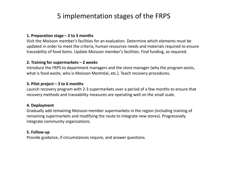## 5 implementation stages of the FRPS

#### **1. Preparation stage – 2 to 3 months**

Visit the Moisson member's facilities for an evaluation. Determine which elements must be updated in order to meet the criteria, human resources needs and materials required to ensure traceability of food items. Update Moisson member's facilities. Find funding, as required.

#### **2. Training for supermarkets – 2 weeks**

Introduce the FRPS to department managers and the store manager (why the program exists, what is food waste, who is Moisson Montréal, etc.). Teach recovery procedures.

#### **3. Pilot project – 3 to 6 months**

Launch recovery program with 2-3 supermarkets over a period of a few months to ensure that recovery methods and traceability measures are operating well on the small scale.

#### **4. Deployment**

Gradually add remaining Moisson member supermarkets in the region (including training of remaining supermarkets and modifying the route to integrate new stores). Progressively integrate community organizations.

#### **5. Follow-up**

Provide guidance, if circumstances require, and answer questions.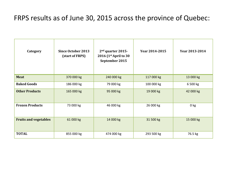### FRPS results as of June 30, 2015 across the province of Quebec:

| Category                     | <b>Since October 2013</b><br>(start of FRPS) | 2 <sup>nd</sup> quarter 2015-<br>2016 $(1st April to 30)$<br>September 2015 | Year 2014-2015 | Year 2013-2014  |
|------------------------------|----------------------------------------------|-----------------------------------------------------------------------------|----------------|-----------------|
| <b>Meat</b>                  | 370 000 kg                                   | 240 000 kg                                                                  | 117 000 kg     | 13 000 kg       |
| <b>Baked Goods</b>           | 186 000 kg                                   | 79 000 kg                                                                   | 100 000 kg     | 6 500 kg        |
| <b>Other Products</b>        | 165 000 kg                                   | 95 000 kg                                                                   | 19 000 kg      | 42 000 kg       |
| <b>Frozen Products</b>       | 73 000 kg                                    | 46 000 kg                                                                   | 26 000 kg      | 0 <sub>kg</sub> |
| <b>Fruits and vegetables</b> | 61 000 kg                                    | 14 000 kg                                                                   | 31 500 kg      | 15 000 kg       |
| <b>TOTAL</b>                 | 855 000 kg                                   | 474 000 kg                                                                  | 293 500 kg     | 76.5 kg         |